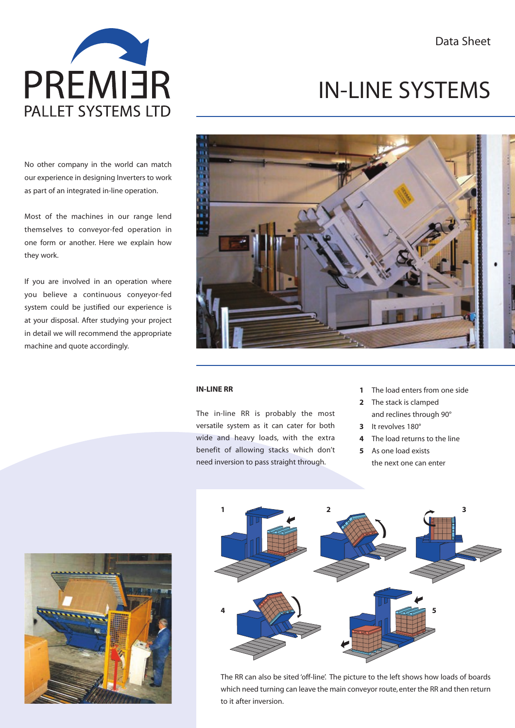Data Sheet



No other company in the world can match our experience in designing Inverters to work as part of an integrated in-line operation.

Most of the machines in our range lend themselves to conveyor-fed operation in one form or another. Here we explain how they work.

If you are involved in an operation where you believe a continuous conyeyor-fed system could be justified our experience is at your disposal. After studying your project in detail we will recommend the appropriate machine and quote accordingly.

# IN-LINE SYSTEMS



#### **IN-LINE RR**

The in-line RR is probably the most versatile system as it can cater for both wide and heavy loads, with the extra benefit of allowing stacks which don't need inversion to pass straight through.

- **1** The load enters from one side
- **2** The stack is clamped and reclines through 90°
- **3** It revolves 180°
- **4** The load returns to the line
- **5** As one load exists

the next one can enter





The RR can also be sited 'off-line'. The picture to the left shows how loads of boards which need turning can leave the main conveyor route, enter the RR and then return to it after inversion.